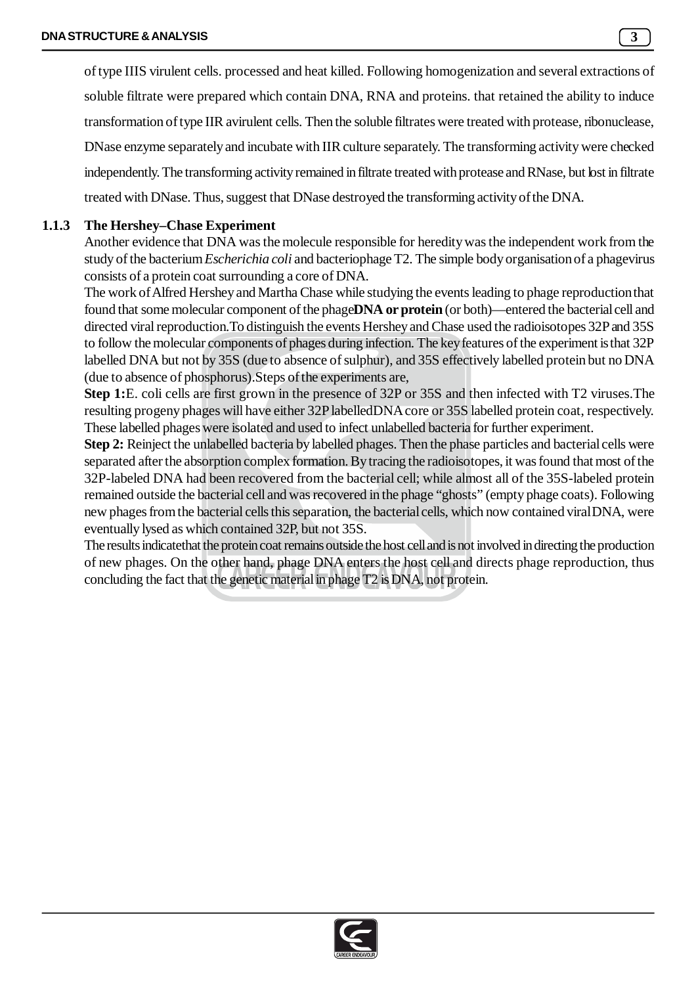of type IIIS virulent cells. processed and heat killed. Following homogenization and several extractions of soluble filtrate were prepared which contain DNA, RNA and proteins. that retained the ability to induce transformation of type IIR avirulent cells. Then the soluble filtrates were treated with protease, ribonuclease, DNase enzyme separately and incubate with IIR culture separately. The transforming activity were checked independently. The transforming activity remained in filtrate treated with protease and RNase, but lost in filtrate treated with DNase. Thus, suggest that DNase destroyed the transforming activity of the DNA.

## **1.1.3 The Hershey–Chase Experiment**

Another evidence that DNA was the molecule responsible for heredity was the independent work from the study of the bacterium *Escherichia coli* and bacteriophage T2. The simple body organisation of a phagevirus consists of a protein coat surrounding a core of DNA.

The work of Alfred Hershey and Martha Chase while studying the events leading to phage reproduction that found that some molecular component of the phage**DNA or protein** (or both)—entered the bacterial cell and directed viral reproduction.To distinguish the events Hershey and Chase used the radioisotopes 32P and 35S to follow the molecular components of phages during infection. The key features of the experiment is that 32P labelled DNA but not by 35S (due to absence of sulphur), and 35S effectively labelled protein but no DNA (due to absence of phosphorus).Steps of the experiments are,

**Step 1:**E. coli cells are first grown in the presence of 32P or 35S and then infected with T2 viruses.The resulting progeny phages will have either 32P labelledDNA core or 35S labelled protein coat, respectively. These labelled phages were isolated and used to infect unlabelled bacteria for further experiment.

**Step 2:** Reinject the unlabelled bacteria by labelled phages. Then the phase particles and bacterial cells were separated after the absorption complex formation. By tracing the radioisotopes, it was found that most of the 32P-labeled DNA had been recovered from the bacterial cell; while almost all of the 35S-labeled protein remained outside the bacterial cell and was recovered in the phage "ghosts" (empty phage coats). Following new phages from the bacterial cells this separation, the bacterial cells, which now contained viral DNA, were eventually lysed as which contained 32P, but not 35S.

The results indicatethat the protein coat remains outside the host cell and is not involved in directing the production of new phages. On the other hand, phage DNA enters the host cell and directs phage reproduction, thus concluding the fact that the genetic material in phage T2 is DNA, not protein.